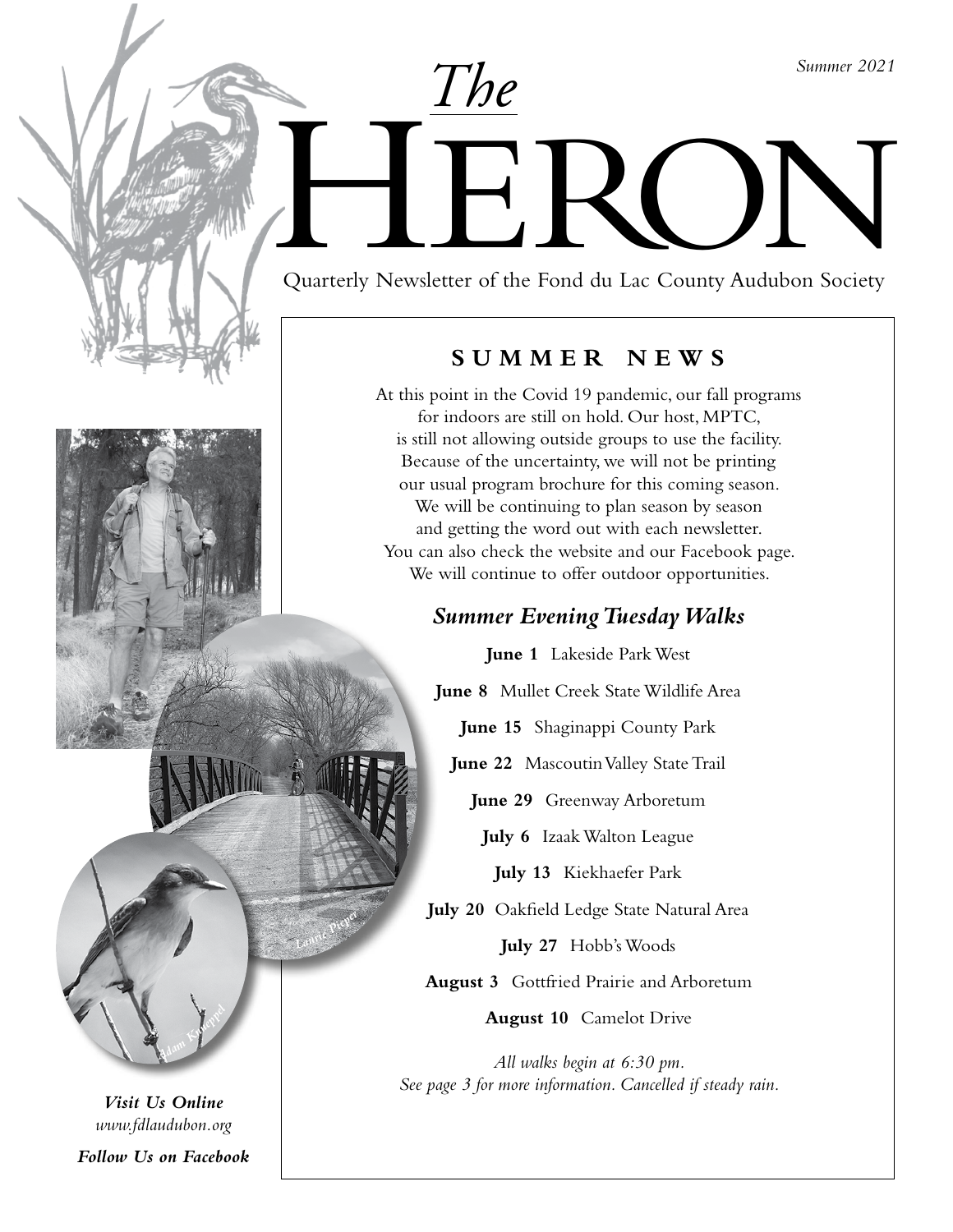*Summer 2021*

# Duarterly Newsletter of the Fond du Lac County Audubon Society

*The*

Quarterly Newsletter of the Fond du Lac County Audubon Society

### **SUMMER NEWS**

At this point in the Covid 19 pandemic, our fall programs for indoors are still on hold. Our host, MPTC, is still not allowing outside groups to use the facility. Because of the uncertainty, we will not be printing our usual program brochure for this coming season. We will be continuing to plan season by season and getting the word out with each newsletter. You can also check the website and our Facebook page. We will continue to offer outdoor opportunities.

## *Summer Evening Tuesday Walks*

**June 1** Lakeside Park West **June 8** Mullet Creek State Wildlife Area

**June 15** Shaginappi County Park

**June 22** Mascoutin Valley State Trail

**June 29** Greenway Arboretum

**July 6** Izaak Walton League

**July 13** Kiekhaefer Park

**July 20** Oakfield Ledge State Natural Area

**July 27** Hobb's Woods

**August 3** Gottfried Prairie and Arboretum

**August 10** Camelot Drive

*All walks begin at 6:30 pm. See page 3 for more information. Cancelled if steady rain.*

*Visit Us Online www.fdlaudubon.org*

*<sup>A</sup>da<sup>m</sup> <sup>K</sup><sup>n</sup>u<sup>e</sup>pp<sup>e</sup><sup>l</sup>*

*<sup>L</sup>auri<sup>e</sup> <sup>P</sup>i<sup>e</sup>p<sup>e</sup><sup>r</sup>*

*Follow Us on Facebook*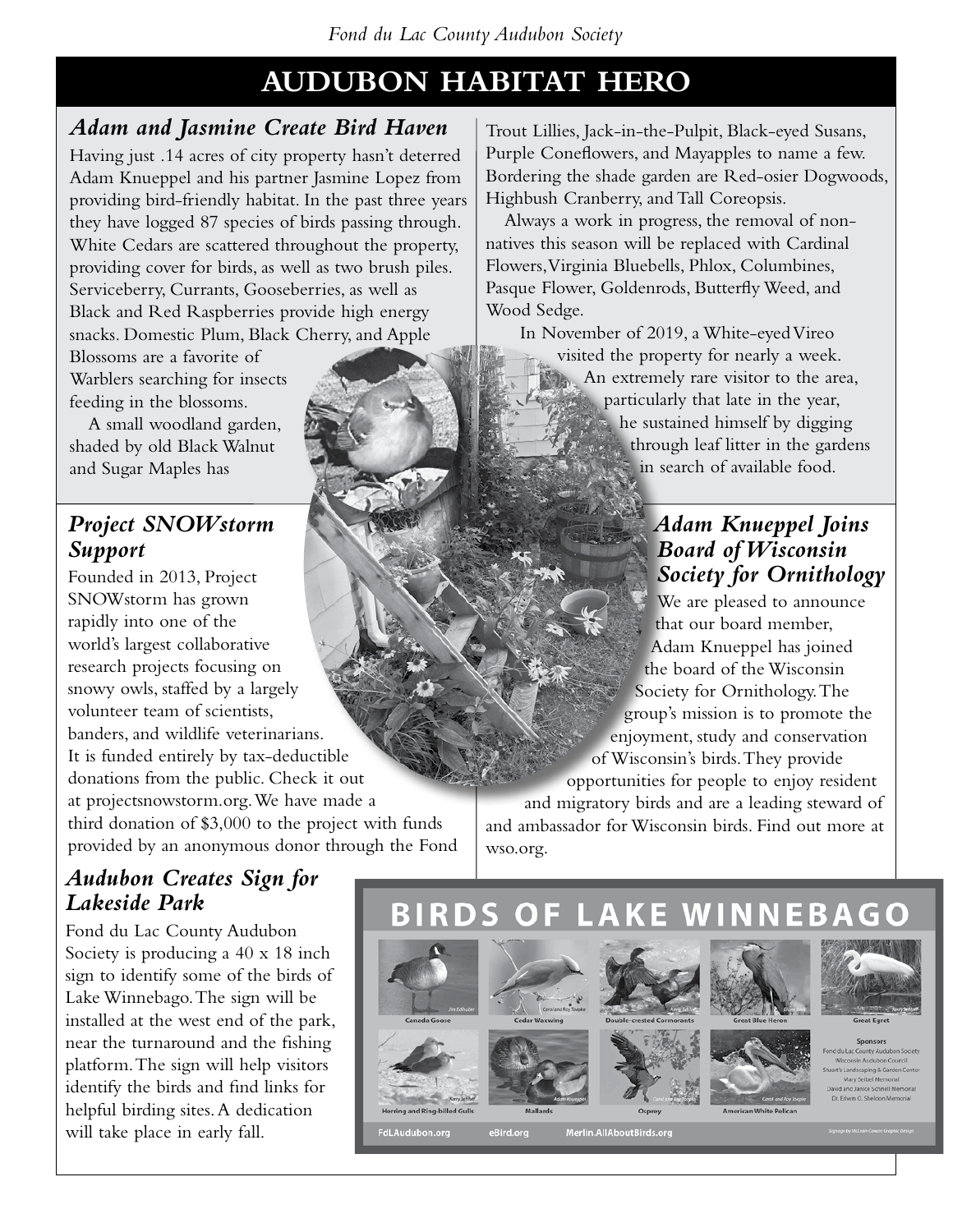# **AUDUBON HABITAT HERO**

## *Adam and Jasmine Create Bird Haven*

Having just .14 acres of city property hasn't deterred Adam Knueppel and his partner Jasmine Lopez from providing bird-friendly habitat. In the past three years they have logged 87 species of birds passing through. White Cedars are scattered throughout the property, providing cover for birds, as well as two brush piles. Serviceberry, Currants, Gooseberries, as well as Black and Red Raspberries provide high energy snacks. Domestic Plum, Black Cherry, and Apple

Blossoms are a favorite of Warblers searching for insects feeding in the blossoms.

A small woodland garden, shaded by old Black Walnut and Sugar Maples has

## *Project SNOWstorm Support*

Founded in 2013, Project SNOWstorm has grown rapidly into one of the world's largest collaborative research projects focusing on snowy owls, staffed by a largely volunteer team of scientists, banders, and wildlife veterinarians. It is funded entirely by tax-deductible donations from the public. Check it out at projectsnowstorm.org. We have made a third donation of \$3,000 to the project with funds provided by an anonymous donor through the Fond

## *Audubon Creates Sign for Lakeside Park*

Fond du Lac County Audubon Society is producing a 40 x 18 inch sign to identify some of the birds of Lake Winnebago. The sign will be installed at the west end of the park, near the turnaround and the fishing platform. The sign will help visitors identify the birds and find links for helpful birding sites. A dedication will take place in early fall.

Trout Lillies, Jack-in-the-Pulpit, Black-eyed Susans, Purple Coneflowers, and Mayapples to name a few. Bordering the shade garden are Red-osier Dogwoods, Highbush Cranberry, and Tall Coreopsis.

Always a work in progress, the removal of nonnatives this season will be replaced with Cardinal Flowers, Virginia Bluebells, Phlox, Columbines, Pasque Flower, Goldenrods, Butterfly Weed, and Wood Sedge.

In November of 2019, a White-eyed Vireo visited the property for nearly a week. An extremely rare visitor to the area, particularly that late in the year, he sustained himself by digging through leaf litter in the gardens in search of available food.

## *Adam Knueppel Joins Board of Wisconsin Society for Ornithology*

We are pleased to announce that our board member, Adam Knueppel has joined the board of the Wisconsin Society for Ornithology. The group's mission is to promote the enjoyment, study and conservation of Wisconsin's birds. They provide opportunities for people to enjoy resident and migratory birds and are a leading steward of and ambassador for Wisconsin birds. Find out more at wso.org.



eBird.org Merlin.AllAboutBirds.org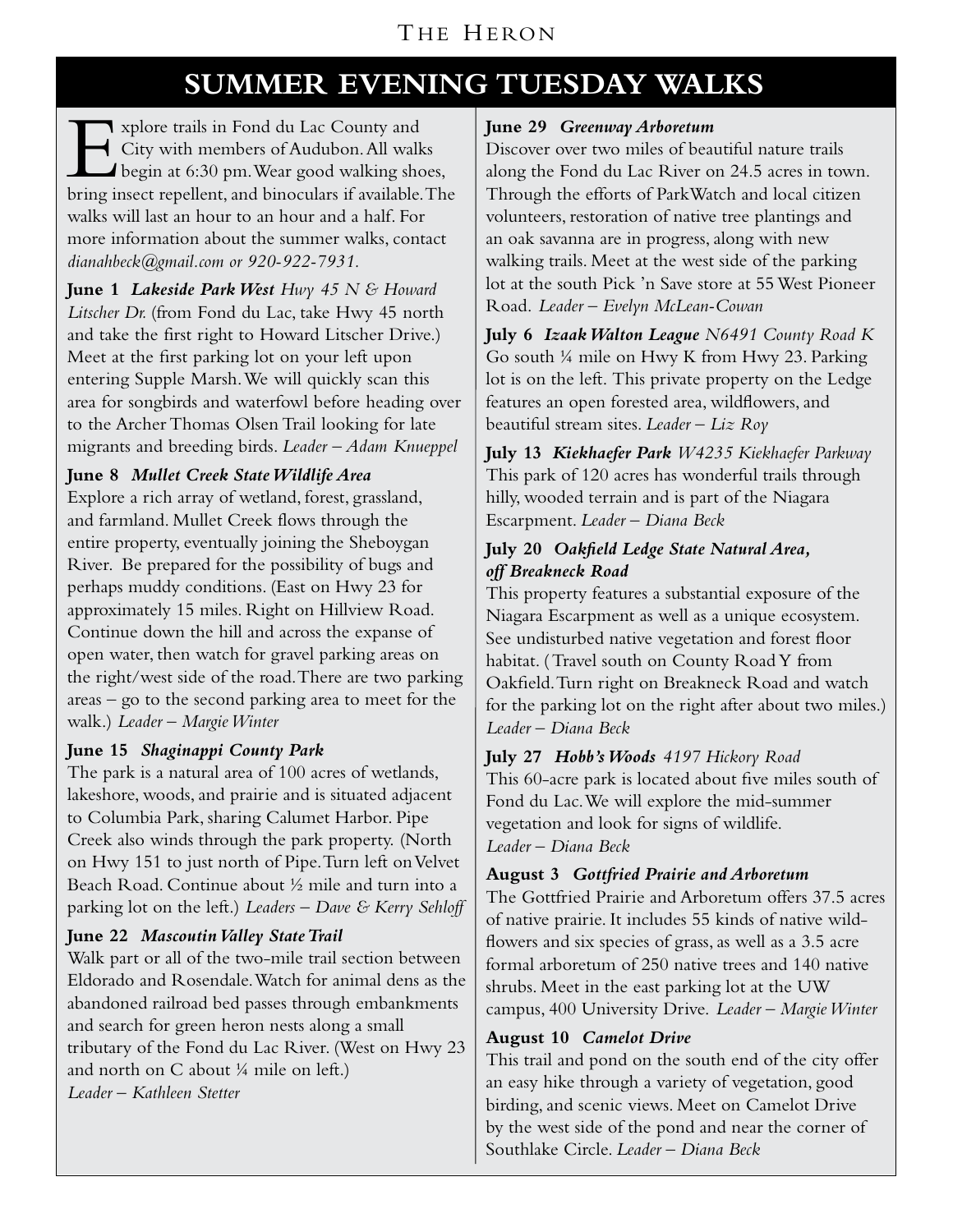## THE HERON

# **SUMMER EVENING TUESDAY WALKS**

Explore trails in Fond du Lac County and<br>City with members of Audubon. All walk<br>begin at 6:30 pm. Wear good walking sho<br>hring insect repellent and binoculars if wailable City with members of Audubon. All walks begin at 6:30 pm. Wear good walking shoes, bring insect repellent, and binoculars if available. The walks will last an hour to an hour and a half. For more information about the summer walks, contact *dianahbeck@gmail.com or 920-922-7931.*

**June 1** *Lakeside Park West Hwy 45 N & Howard Litscher Dr.* (from Fond du Lac, take Hwy 45 north and take the first right to Howard Litscher Drive.) Meet at the first parking lot on your left upon entering Supple Marsh. We will quickly scan this area for songbirds and waterfowl before heading over to the Archer Thomas Olsen Trail looking for late migrants and breeding birds. *Leader – Adam Knueppel*

#### **June 8** *Mullet Creek State Wildlife Area*

Explore a rich array of wetland, forest, grassland, and farmland. Mullet Creek flows through the entire property, eventually joining the Sheboygan River. Be prepared for the possibility of bugs and perhaps muddy conditions. (East on Hwy 23 for approximately 15 miles. Right on Hillview Road. Continue down the hill and across the expanse of open water, then watch for gravel parking areas on the right/west side of the road. There are two parking areas – go to the second parking area to meet for the walk.) *Leader – Margie Winter*

#### **June 15** *Shaginappi County Park*

The park is a natural area of 100 acres of wetlands, lakeshore, woods, and prairie and is situated adjacent to Columbia Park, sharing Calumet Harbor. Pipe Creek also winds through the park property. (North on Hwy 151 to just north of Pipe. Turn left on Velvet Beach Road. Continue about ½ mile and turn into a parking lot on the left.) *Leaders – Dave & Kerry Sehloff*

#### **June 22** *Mascoutin Valley State Trail*

Walk part or all of the two-mile trail section between Eldorado and Rosendale. Watch for animal dens as the abandoned railroad bed passes through embankments and search for green heron nests along a small tributary of the Fond du Lac River. (West on Hwy 23 and north on C about ¼ mile on left.) *Leader – Kathleen Stetter*

#### **June 29** *Greenway Arboretum*

Discover over two miles of beautiful nature trails along the Fond du Lac River on 24.5 acres in town. Through the efforts of ParkWatch and local citizen volunteers, restoration of native tree plantings and an oak savanna are in progress, along with new walking trails. Meet at the west side of the parking lot at the south Pick 'n Save store at 55 West Pioneer Road. *Leader – Evelyn McLean-Cowan*

**July 6** *Izaak Walton League N6491 County Road K* Go south ¼ mile on Hwy K from Hwy 23. Parking lot is on the left. This private property on the Ledge features an open forested area, wildflowers, and beautiful stream sites. *Leader – Liz Roy*

**July 13** *Kiekhaefer Park W4235 Kiekhaefer Parkway* This park of 120 acres has wonderful trails through hilly, wooded terrain and is part of the Niagara Escarpment. *Leader – Diana Beck* 

#### **July 20** *Oakfield Ledge State Natural Area, off Breakneck Road*

This property features a substantial exposure of the Niagara Escarpment as well as a unique ecosystem. See undisturbed native vegetation and forest floor habitat. ( Travel south on County Road Y from Oakfield. Turn right on Breakneck Road and watch for the parking lot on the right after about two miles.) *Leader – Diana Beck*

**July 27** *Hobb's Woods 4197 Hickory Road* This 60-acre park is located about five miles south of Fond du Lac. We will explore the mid-summer vegetation and look for signs of wildlife. *Leader – Diana Beck*

#### **August 3** *Gottfried Prairie and Arboretum*

The Gottfried Prairie and Arboretum offers 37.5 acres of native prairie. It includes 55 kinds of native wildflowers and six species of grass, as well as a 3.5 acre formal arboretum of 250 native trees and 140 native shrubs. Meet in the east parking lot at the UW campus, 400 University Drive. *Leader – Margie Winter*

#### **August 10** *Camelot Drive*

This trail and pond on the south end of the city offer an easy hike through a variety of vegetation, good birding, and scenic views. Meet on Camelot Drive by the west side of the pond and near the corner of Southlake Circle. *Leader – Diana Beck*